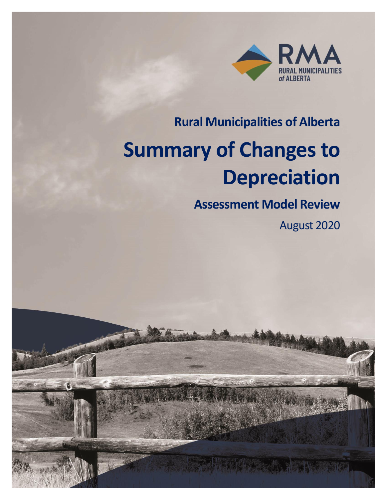

# **Rural Municipalities of Alberta**

# **Summary of Changes to Depreciation**

# **Assessment Model Review**

August 2020

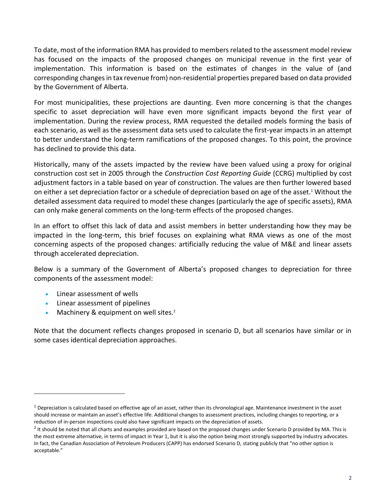To date, most of the information RMA has provided to members related to the assessment model review has focused on the impacts of the proposed changes on municipal revenue in the first year of implementation. This information is based on the estimates of changes in the value of (and corresponding changes in tax revenue from) non-residential properties prepared based on data provided by the Government of Alberta.

For most municipalities, these projections are daunting. Even more concerning is that the changes specific to asset depreciation will have even more significant impacts beyond the first year of implementation. During the review process, RMA requested the detailed models forming the basis of each scenario, as well as the assessment data sets used to calculate the first-year impacts in an attempt to better understand the long-term ramifications of the proposed changes. To this point, the province has declined to provide this data.

Historically, many of the assets impacted by the review have been valued using a proxy for original construction cost set in 2005 through the *Construction Cost Reporting Guide* (CCRG) multiplied by cost adjustment factors in a table based on year of construction. The values are then further lowered based on either a set depreciation factor or a schedule of depreciation based on age of the asset. <sup>1</sup> Without the detailed assessment data required to model these changes (particularly the age of specific assets), RMA can only make general comments on the long-term effects of the proposed changes.

In an effort to offset this lack of data and assist members in better understanding how they may be impacted in the long-term, this brief focuses on explaining what RMA views as one of the most concerning aspects of the proposed changes: artificially reducing the value of M&E and linear assets through accelerated depreciation.

Below is a summary of the Government of Alberta's proposed changes to depreciation for three components of the assessment model:

- Linear assessment of wells
- Linear assessment of pipelines
- Machinery & equipment on well sites. $2^2$

Note that the document reflects changes proposed in scenario D, but all scenarios have similar or in some cases identical depreciation approaches.

 $1$  Depreciation is calculated based on effective age of an asset, rather than its chronological age. Maintenance investment in the asset should increase or maintain an asset's effective life. Additional changes to assessment practices, including changes to reporting, or a reduction of in-person inspections could also have significant impacts on the depreciation of assets.

 $^2$  It should be noted that all charts and examples provided are based on the proposed changes under Scenario D provided by MA. This is the most extreme alternative, in terms of impact in Year 1, but it is also the option being most strongly supported by industry advocates. In fact, the Canadian Association of Petroleum Producers (CAPP) has endorsed Scenario D, stating publicly that "no other option is acceptable."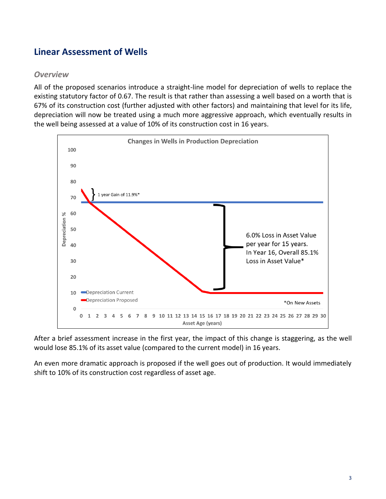## **Linear Assessment of Wells**

#### *Overview*

All of the proposed scenarios introduce a straight-line model for depreciation of wells to replace the existing statutory factor of 0.67. The result is that rather than assessing a well based on a worth that is 67% of its construction cost (further adjusted with other factors) and maintaining that level for its life, depreciation will now be treated using a much more aggressive approach, which eventually results in the well being assessed at a value of 10% of its construction cost in 16 years.



After a brief assessment increase in the first year, the impact of this change is staggering, as the well would lose 85.1% of its asset value (compared to the current model) in 16 years.

An even more dramatic approach is proposed if the well goes out of production. It would immediately shift to 10% of its construction cost regardless of asset age.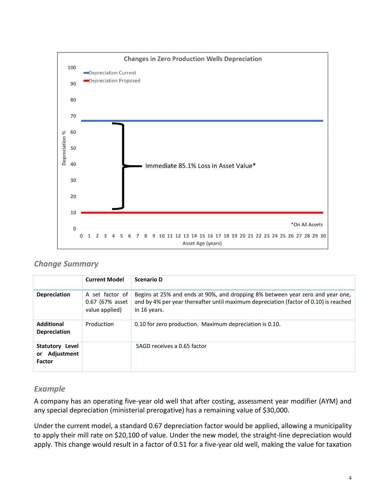

#### *Change Summary*

|                                                      | <b>Current Model</b>                                 | <b>Scenario D</b>                                                                                                                                                                      |
|------------------------------------------------------|------------------------------------------------------|----------------------------------------------------------------------------------------------------------------------------------------------------------------------------------------|
| <b>Depreciation</b>                                  | A set factor of<br>0.67 (67% asset<br>value applied) | Begins at 25% and ends at 90%, and dropping 8% between year zero and year one,<br>and by 4% per year thereafter until maximum depreciation (factor of 0.10) is reached<br>in 16 years. |
| <b>Additional</b><br><b>Depreciation</b>             | Production                                           | 0.10 for zero production. Maximum depreciation is 0.10.                                                                                                                                |
| Statutory Level<br>Adjustment<br>or<br><b>Factor</b> |                                                      | SAGD receives a 0.65 factor                                                                                                                                                            |

#### *Example*

A company has an operating five-year old well that after costing, assessment year modifier (AYM) and any special depreciation (ministerial prerogative) has a remaining value of \$30,000.

Under the current model, a standard 0.67 depreciation factor would be applied, allowing a municipality to apply their mill rate on \$20,100 of value. Under the new model, the straight-line depreciation would apply. This change would result in a factor of 0.51 for a five-year old well, making the value for taxation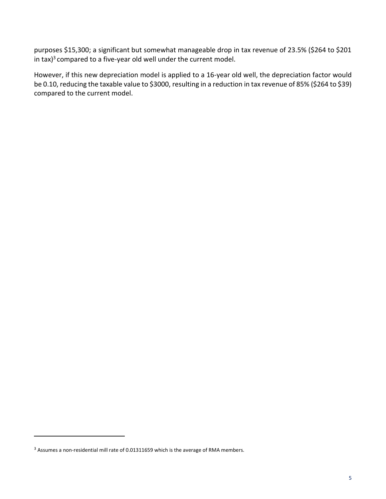purposes \$15,300; a significant but somewhat manageable drop in tax revenue of 23.5% (\$264 to \$201 in tax)<sup>3</sup> compared to a five-year old well under the current model.

However, if this new depreciation model is applied to a 16-year old well, the depreciation factor would be 0.10, reducing the taxable value to \$3000, resulting in a reduction in tax revenue of 85% (\$264 to \$39) compared to the current model.

<sup>&</sup>lt;sup>3</sup> Assumes a non-residential mill rate of 0.01311659 which is the average of RMA members.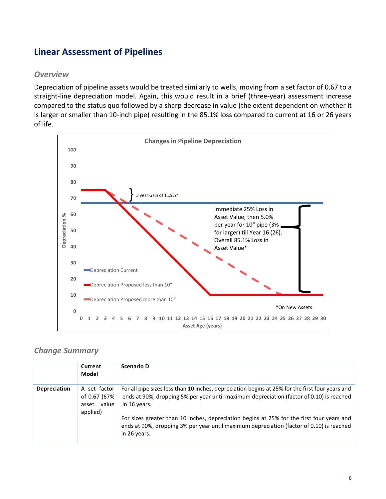## **Linear Assessment of Pipelines**

#### *Overview*

Depreciation of pipeline assets would be treated similarly to wells, moving from a set factor of 0.67 to a straight-line depreciation model. Again, this would result in a brief (three-year) assessment increase compared to the status quo followed by a sharp decrease in value (the extent dependent on whether it is larger or smaller than 10-inch pipe) resulting in the 85.1% loss compared to current at 16 or 26 years of life.



#### *Change Summary*

|                     | Current<br>Model                                        | <b>Scenario D</b>                                                                                                                                                                                                                                                                                                                                                                                                    |
|---------------------|---------------------------------------------------------|----------------------------------------------------------------------------------------------------------------------------------------------------------------------------------------------------------------------------------------------------------------------------------------------------------------------------------------------------------------------------------------------------------------------|
| <b>Depreciation</b> | A set factor<br>of 0.67 (67%<br>asset value<br>applied) | For all pipe sizes less than 10 inches, depreciation begins at 25% for the first four years and<br>ends at 90%, dropping 5% per year until maximum depreciation (factor of 0.10) is reached<br>in 16 years.<br>For sizes greater than 10 inches, depreciation begins at 25% for the first four years and<br>ends at 90%, dropping 3% per year until maximum depreciation (factor of 0.10) is reached<br>in 26 years. |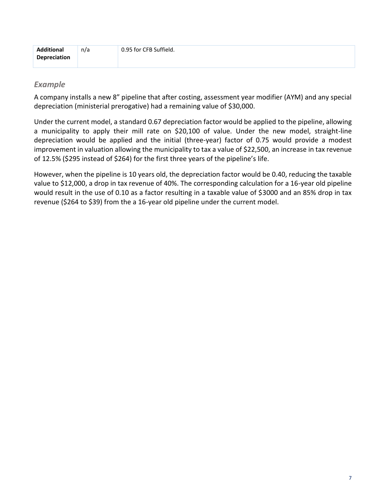| <b>Additional</b> | n/a | 0.95 for CFB Suffield. |
|-------------------|-----|------------------------|
| Depreciation      |     |                        |

#### *Example*

A company installs a new 8" pipeline that after costing, assessment year modifier (AYM) and any special depreciation (ministerial prerogative) had a remaining value of \$30,000.

Under the current model, a standard 0.67 depreciation factor would be applied to the pipeline, allowing a municipality to apply their mill rate on \$20,100 of value. Under the new model, straight-line depreciation would be applied and the initial (three-year) factor of 0.75 would provide a modest improvement in valuation allowing the municipality to tax a value of \$22,500, an increase in tax revenue of 12.5% (\$295 instead of \$264) for the first three years of the pipeline's life.

However, when the pipeline is 10 years old, the depreciation factor would be 0.40, reducing the taxable value to \$12,000, a drop in tax revenue of 40%. The corresponding calculation for a 16-year old pipeline would result in the use of 0.10 as a factor resulting in a taxable value of \$3000 and an 85% drop in tax revenue (\$264 to \$39) from the a 16-year old pipeline under the current model.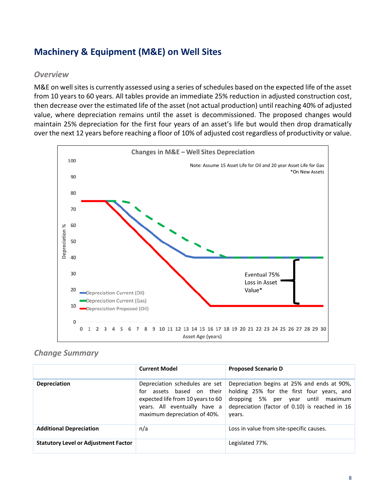## **Machinery & Equipment (M&E) on Well Sites**

#### *Overview*

M&E on well sites is currently assessed using a series of schedules based on the expected life of the asset from 10 years to 60 years. All tables provide an immediate 25% reduction in adjusted construction cost, then decrease over the estimated life of the asset (not actual production) until reaching 40% of adjusted value, where depreciation remains until the asset is decommissioned. The proposed changes would maintain 25% depreciation for the first four years of an asset's life but would then drop dramatically over the next 12 years before reaching a floor of 10% of adjusted cost regardless of productivity or value.



#### *Change Summary*

|                                             | <b>Current Model</b>                                                                                                                                             | <b>Proposed Scenario D</b>                                                                                                                                                                    |
|---------------------------------------------|------------------------------------------------------------------------------------------------------------------------------------------------------------------|-----------------------------------------------------------------------------------------------------------------------------------------------------------------------------------------------|
| <b>Depreciation</b>                         | Depreciation schedules are set<br>for assets based on their<br>expected life from 10 years to 60<br>years. All eventually have a<br>maximum depreciation of 40%. | Depreciation begins at 25% and ends at 90%,<br>holding 25% for the first four years, and<br>dropping 5% per year until<br>maximum<br>depreciation (factor of 0.10) is reached in 16<br>years. |
| <b>Additional Depreciation</b>              | n/a                                                                                                                                                              | Loss in value from site-specific causes.                                                                                                                                                      |
| <b>Statutory Level or Adjustment Factor</b> |                                                                                                                                                                  | Legislated 77%.                                                                                                                                                                               |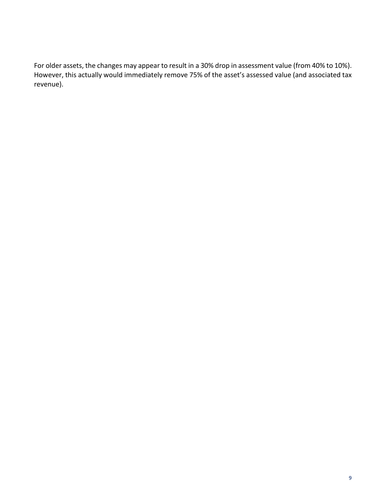For older assets, the changes may appear to result in a 30% drop in assessment value (from 40% to 10%). However, this actually would immediately remove 75% of the asset's assessed value (and associated tax revenue).